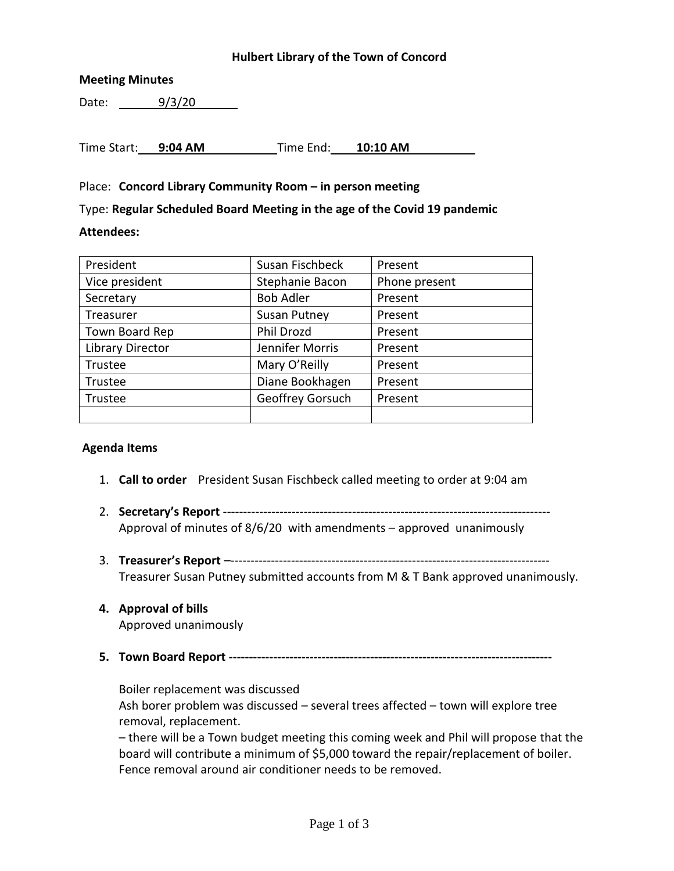## **Hulbert Library of the Town of Concord**

## **Meeting Minutes**

Date: 9/3/20

Time Start: **9:04 AM** Time End: **10:10 AM**

## Place: **Concord Library Community Room – in person meeting**

Type: **Regular Scheduled Board Meeting in the age of the Covid 19 pandemic**

#### **Attendees:**

| President               | Susan Fischbeck     | Present       |
|-------------------------|---------------------|---------------|
| Vice president          | Stephanie Bacon     | Phone present |
| Secretary               | <b>Bob Adler</b>    | Present       |
| Treasurer               | <b>Susan Putney</b> | Present       |
| Town Board Rep          | Phil Drozd          | Present       |
| <b>Library Director</b> | Jennifer Morris     | Present       |
| Trustee                 | Mary O'Reilly       | Present       |
| Trustee                 | Diane Bookhagen     | Present       |
| Trustee                 | Geoffrey Gorsuch    | Present       |
|                         |                     |               |

#### **Agenda Items**

- 1. **Call to order** President Susan Fischbeck called meeting to order at 9:04 am
- 2. **Secretary's Report** --------------------------------------------------------------------------------- Approval of minutes of 8/6/20 with amendments – approved unanimously
- 3. **Treasurer's Report** –------------------------------------------------------------------------------- Treasurer Susan Putney submitted accounts from M & T Bank approved unanimously.

# **4. Approval of bills**

Approved unanimously

**5. Town Board Report --------------------------------------------------------------------------------**

Boiler replacement was discussed Ash borer problem was discussed – several trees affected – town will explore tree removal, replacement.

– there will be a Town budget meeting this coming week and Phil will propose that the board will contribute a minimum of \$5,000 toward the repair/replacement of boiler. Fence removal around air conditioner needs to be removed.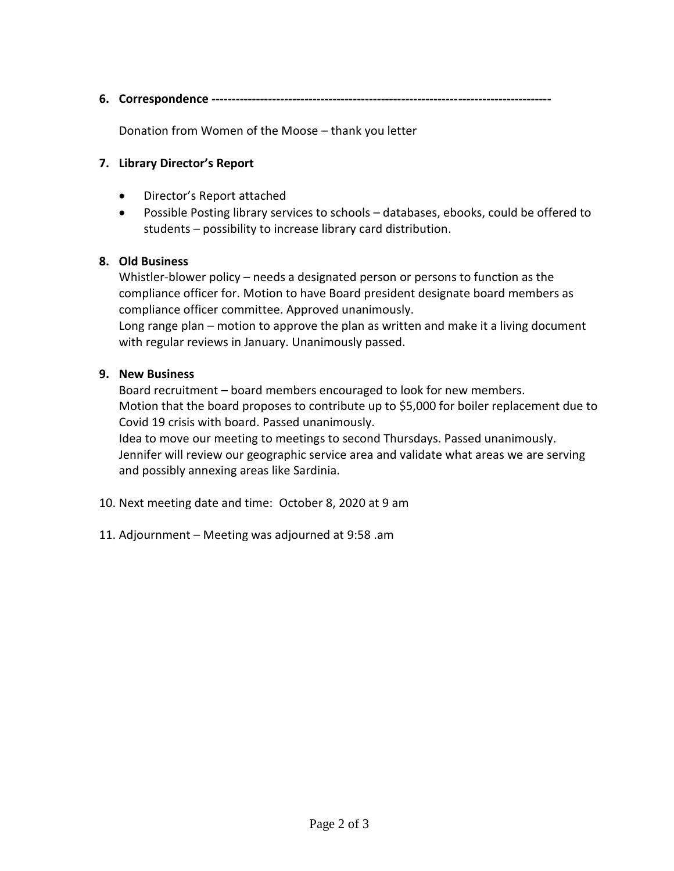**6. Correspondence ------------------------------------------------------------------------------------**

Donation from Women of the Moose – thank you letter

# **7. Library Director's Report**

- Director's Report attached
- Possible Posting library services to schools databases, ebooks, could be offered to students – possibility to increase library card distribution.

## **8. Old Business**

Whistler-blower policy – needs a designated person or persons to function as the compliance officer for. Motion to have Board president designate board members as compliance officer committee. Approved unanimously.

Long range plan – motion to approve the plan as written and make it a living document with regular reviews in January. Unanimously passed.

## **9. New Business**

Board recruitment – board members encouraged to look for new members. Motion that the board proposes to contribute up to \$5,000 for boiler replacement due to Covid 19 crisis with board. Passed unanimously.

Idea to move our meeting to meetings to second Thursdays. Passed unanimously. Jennifer will review our geographic service area and validate what areas we are serving and possibly annexing areas like Sardinia.

- 10. Next meeting date and time: October 8, 2020 at 9 am
- 11. Adjournment Meeting was adjourned at 9:58 .am